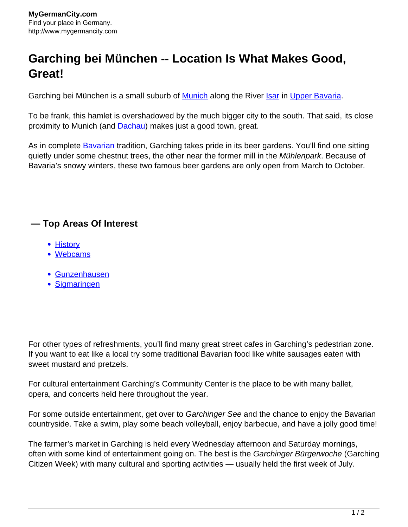## **Garching bei München -- Location Is What Makes Good, Great!**

Garching bei München is a small suburb of [Munich](http://www.mygermancity.com/munich) along the River [Isar](http://www.mygermancity.com/isar) in [Upper Bavaria](http://www.mygermancity.com/upper-bavaria).

To be frank, this hamlet is overshadowed by the much bigger city to the south. That said, its close proximity to Munich (and [Dachau\)](http://www.mygermancity.com/dachau) makes just a good town, great.

As in complete **Bavarian** tradition, Garching takes pride in its beer gardens. You'll find one sitting quietly under some chestnut trees, the other near the former mill in the Mühlenpark. Because of Bavaria's snowy winters, these two famous beer gardens are only open from March to October.

## **— Top Areas Of Interest**

- [History](http://www.mygermancity.com/leipzig-history)
- [Webcams](http://www.mygermancity.com/neustadt-holstein-webcams)
- [Gunzenhausen](http://www.mygermancity.com/gunzenhausen)
- [Sigmaringen](http://www.mygermancity.com/sigmaringen)

For other types of refreshments, you'll find many great street cafes in Garching's pedestrian zone. If you want to eat like a local try some traditional Bavarian food like white sausages eaten with sweet mustard and pretzels.

For cultural entertainment Garching's Community Center is the place to be with many ballet, opera, and concerts held here throughout the year.

For some outside entertainment, get over to Garchinger See and the chance to enjoy the Bavarian countryside. Take a swim, play some beach volleyball, enjoy barbecue, and have a jolly good time!

The farmer's market in Garching is held every Wednesday afternoon and Saturday mornings, often with some kind of entertainment going on. The best is the Garchinger Bürgerwoche (Garching Citizen Week) with many cultural and sporting activities — usually held the first week of July.